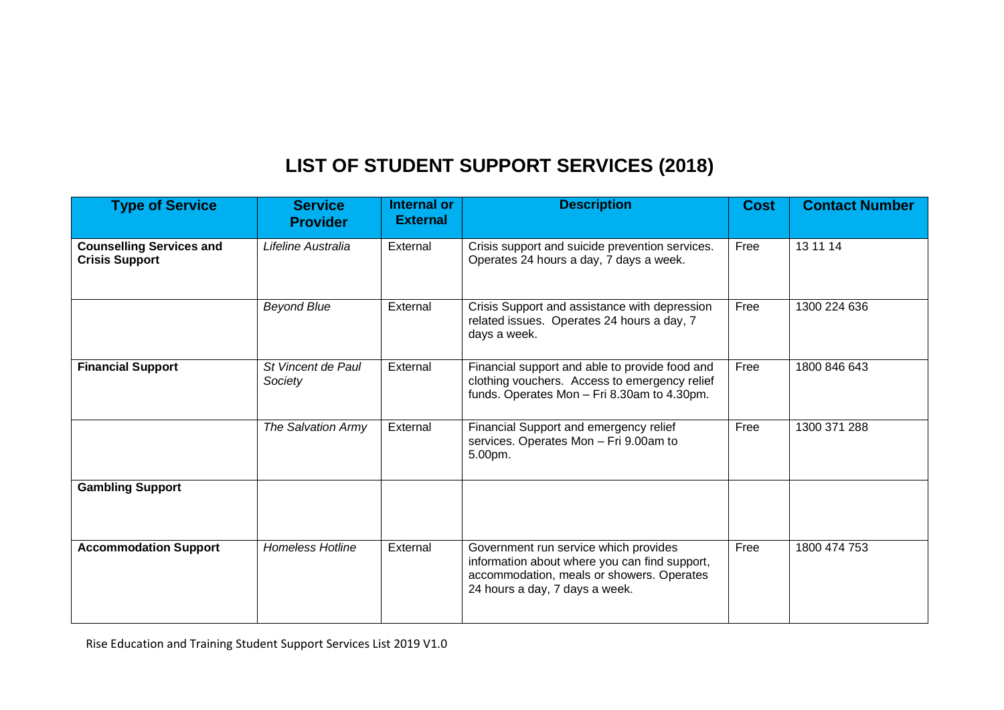## **LIST OF STUDENT SUPPORT SERVICES (2018)**

| <b>Type of Service</b>                                   | <b>Service</b><br><b>Provider</b> | <b>Internal or</b><br><b>External</b> | <b>Description</b>                                                                                                                                                    | <b>Cost</b> | <b>Contact Number</b> |
|----------------------------------------------------------|-----------------------------------|---------------------------------------|-----------------------------------------------------------------------------------------------------------------------------------------------------------------------|-------------|-----------------------|
| <b>Counselling Services and</b><br><b>Crisis Support</b> | Lifeline Australia                | External                              | Crisis support and suicide prevention services.<br>Operates 24 hours a day, 7 days a week.                                                                            | Free        | 13 11 14              |
|                                                          | <b>Beyond Blue</b>                | External                              | Crisis Support and assistance with depression<br>related issues. Operates 24 hours a day, 7<br>days a week.                                                           | Free        | 1300 224 636          |
| <b>Financial Support</b>                                 | St Vincent de Paul<br>Society     | External                              | Financial support and able to provide food and<br>clothing vouchers. Access to emergency relief<br>funds. Operates Mon - Fri 8.30am to 4.30pm.                        | Free        | 1800 846 643          |
|                                                          | The Salvation Army                | External                              | Financial Support and emergency relief<br>services. Operates Mon - Fri 9.00am to<br>5.00pm.                                                                           | Free        | 1300 371 288          |
| <b>Gambling Support</b>                                  |                                   |                                       |                                                                                                                                                                       |             |                       |
| <b>Accommodation Support</b>                             | <b>Homeless Hotline</b>           | External                              | Government run service which provides<br>information about where you can find support,<br>accommodation, meals or showers. Operates<br>24 hours a day, 7 days a week. | Free        | 1800 474 753          |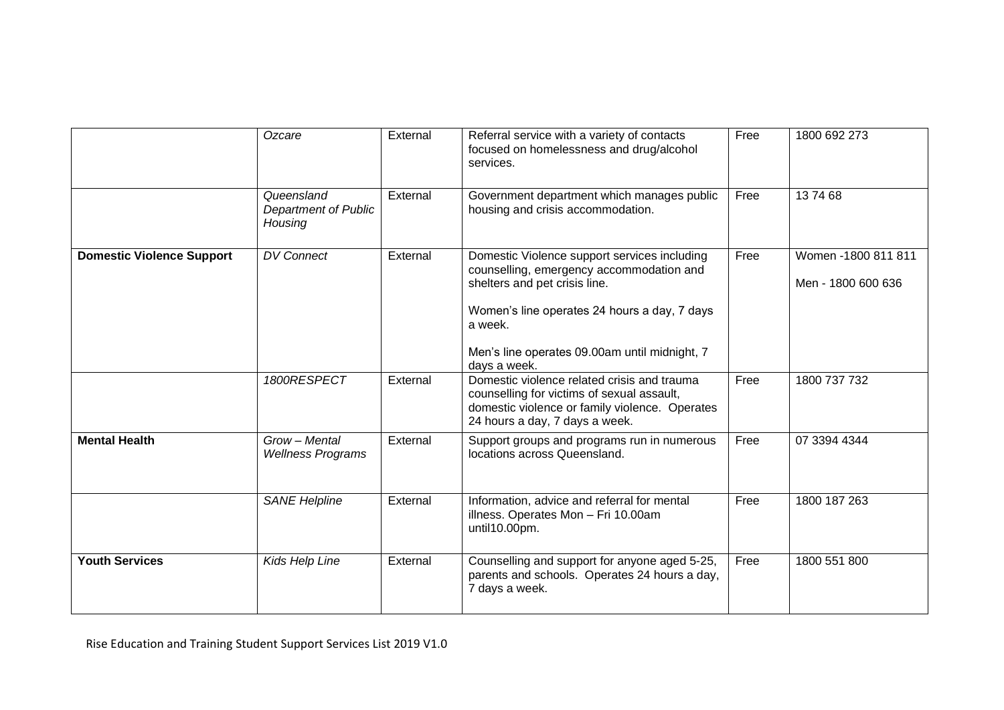|                                  | Ozcare                                        | External | Referral service with a variety of contacts<br>focused on homelessness and drug/alcohol<br>services.                                                                                                                                                  | Free | 1800 692 273                              |
|----------------------------------|-----------------------------------------------|----------|-------------------------------------------------------------------------------------------------------------------------------------------------------------------------------------------------------------------------------------------------------|------|-------------------------------------------|
|                                  | Queensland<br>Department of Public<br>Housing | External | Government department which manages public<br>housing and crisis accommodation.                                                                                                                                                                       | Free | 137468                                    |
| <b>Domestic Violence Support</b> | <b>DV Connect</b>                             | External | Domestic Violence support services including<br>counselling, emergency accommodation and<br>shelters and pet crisis line.<br>Women's line operates 24 hours a day, 7 days<br>a week.<br>Men's line operates 09.00am until midnight, 7<br>days a week. | Free | Women -1800 811 811<br>Men - 1800 600 636 |
|                                  | 1800RESPECT                                   | External | Domestic violence related crisis and trauma<br>counselling for victims of sexual assault,<br>domestic violence or family violence. Operates<br>24 hours a day, 7 days a week.                                                                         | Free | 1800 737 732                              |
| <b>Mental Health</b>             | Grow - Mental<br><b>Wellness Programs</b>     | External | Support groups and programs run in numerous<br>locations across Queensland.                                                                                                                                                                           | Free | 07 3394 4344                              |
|                                  | <b>SANE Helpline</b>                          | External | Information, advice and referral for mental<br>illness. Operates Mon - Fri 10.00am<br>until10.00pm.                                                                                                                                                   | Free | 1800 187 263                              |
| <b>Youth Services</b>            | Kids Help Line                                | External | Counselling and support for anyone aged 5-25,<br>parents and schools. Operates 24 hours a day,<br>7 days a week.                                                                                                                                      | Free | 1800 551 800                              |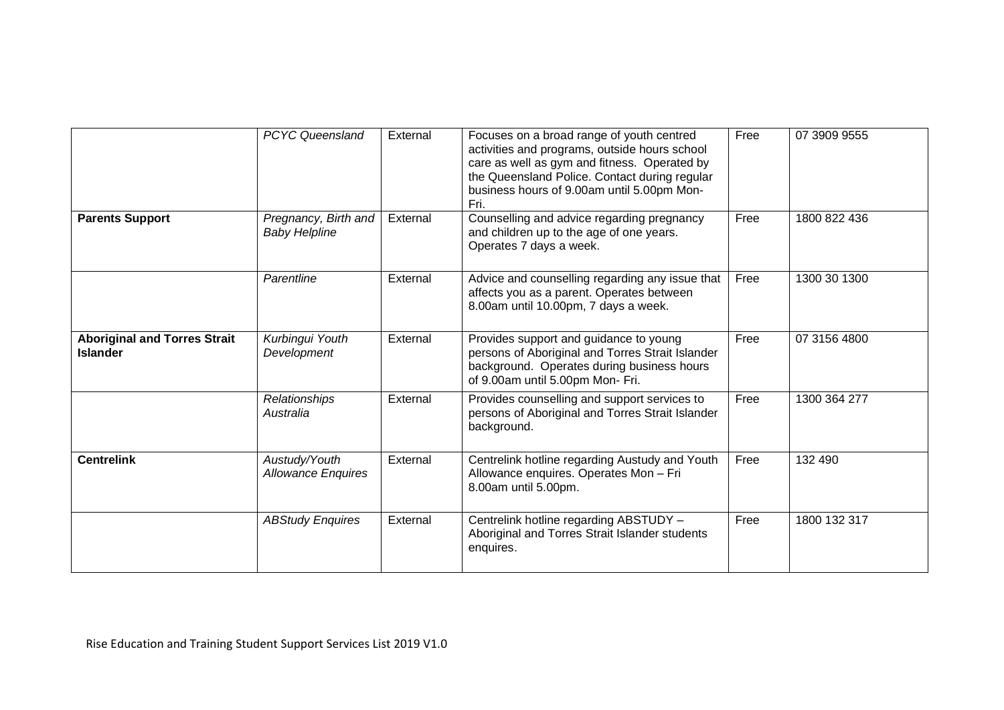|                                                        | <b>PCYC Queensland</b>                       | External | Focuses on a broad range of youth centred<br>activities and programs, outside hours school<br>care as well as gym and fitness. Operated by<br>the Queensland Police. Contact during regular<br>business hours of 9.00am until 5.00pm Mon-<br>Fri. | Free | 07 3909 9555 |
|--------------------------------------------------------|----------------------------------------------|----------|---------------------------------------------------------------------------------------------------------------------------------------------------------------------------------------------------------------------------------------------------|------|--------------|
| <b>Parents Support</b>                                 | Pregnancy, Birth and<br><b>Baby Helpline</b> | External | Counselling and advice regarding pregnancy<br>and children up to the age of one years.<br>Operates 7 days a week.                                                                                                                                 | Free | 1800 822 436 |
|                                                        | Parentline                                   | External | Advice and counselling regarding any issue that<br>affects you as a parent. Operates between<br>8.00am until 10.00pm, 7 days a week.                                                                                                              | Free | 1300 30 1300 |
| <b>Aboriginal and Torres Strait</b><br><b>Islander</b> | Kurbingui Youth<br>Development               | External | Provides support and guidance to young<br>persons of Aboriginal and Torres Strait Islander<br>background. Operates during business hours<br>of 9.00am until 5.00pm Mon- Fri.                                                                      | Free | 07 3156 4800 |
|                                                        | Relationships<br>Australia                   | External | Provides counselling and support services to<br>persons of Aboriginal and Torres Strait Islander<br>background.                                                                                                                                   | Free | 1300 364 277 |
| <b>Centrelink</b>                                      | Austudy/Youth<br><b>Allowance Enquires</b>   | External | Centrelink hotline regarding Austudy and Youth<br>Allowance enquires. Operates Mon - Fri<br>8.00am until 5.00pm.                                                                                                                                  | Free | 132 490      |
|                                                        | <b>ABStudy Enquires</b>                      | External | Centrelink hotline regarding ABSTUDY -<br>Aboriginal and Torres Strait Islander students<br>enquires.                                                                                                                                             | Free | 1800 132 317 |